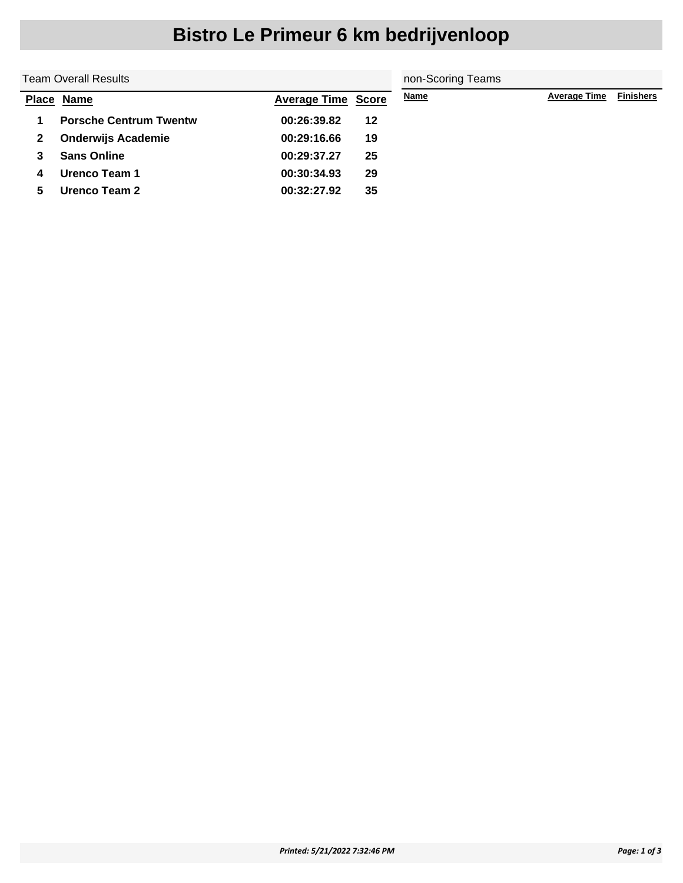|   | Team Overall Results          | non-Scoring Teams         |    |             |                     |                  |
|---|-------------------------------|---------------------------|----|-------------|---------------------|------------------|
|   | Place Name                    | <b>Average Time Score</b> |    | <b>Name</b> | <b>Average Time</b> | <b>Finishers</b> |
|   | <b>Porsche Centrum Twentw</b> | 00:26:39.82               | 12 |             |                     |                  |
| 2 | <b>Onderwijs Academie</b>     | 00:29:16.66               | 19 |             |                     |                  |
| 3 | <b>Sans Online</b>            | 00:29:37.27               | 25 |             |                     |                  |
| 4 | Urenco Team 1                 | 00:30:34.93               | 29 |             |                     |                  |
| 5 | Urenco Team 2                 | 00:32:27.92               | 35 |             |                     |                  |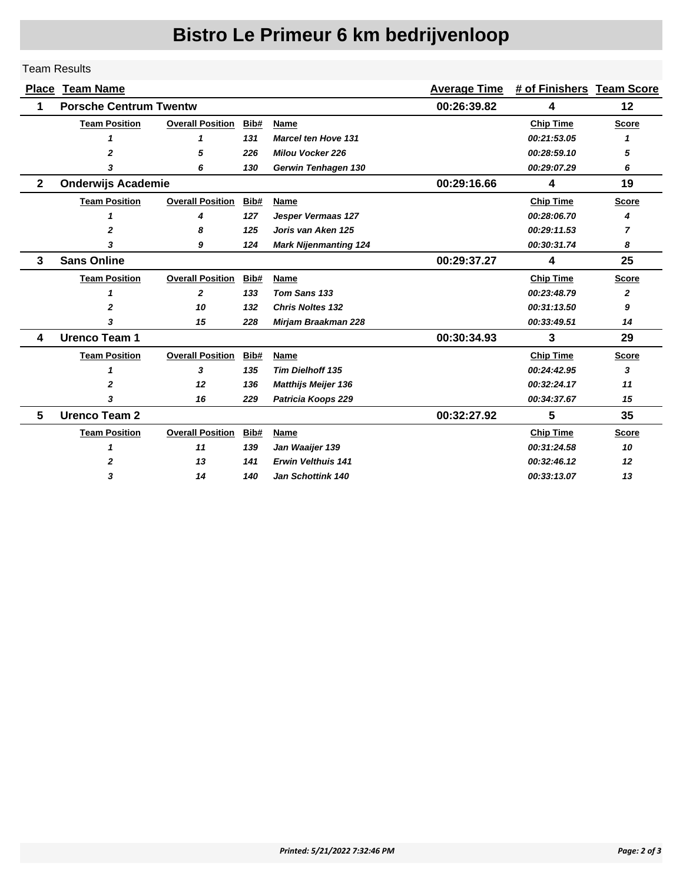#### Team Results

| <b>Place</b> | <b>Team Name</b>              |                         | <b>Average Time</b> | # of Finishers Team Score    |             |                  |              |
|--------------|-------------------------------|-------------------------|---------------------|------------------------------|-------------|------------------|--------------|
| 1            | <b>Porsche Centrum Twentw</b> |                         |                     |                              | 00:26:39.82 | 4                | 12           |
|              | <b>Team Position</b>          | <b>Overall Position</b> | Bib#                | Name                         |             | <b>Chip Time</b> | <b>Score</b> |
|              |                               | 1                       | 131                 | <b>Marcel ten Hove 131</b>   |             | 00:21:53.05      |              |
|              | 2                             | 5                       | 226                 | <b>Milou Vocker 226</b>      |             | 00:28:59.10      | 5            |
|              | 3                             | 6                       | 130                 | Gerwin Tenhagen 130          |             | 00:29:07.29      | 6            |
| $\mathbf{2}$ | <b>Onderwijs Academie</b>     |                         |                     |                              | 00:29:16.66 | 4                | 19           |
|              | <b>Team Position</b>          | <b>Overall Position</b> | Bib#                | Name                         |             | <b>Chip Time</b> | <b>Score</b> |
|              | 1                             | 4                       | 127                 | Jesper Vermaas 127           |             | 00:28:06.70      | 4            |
|              | $\mathbf{z}$                  | 8                       | 125                 | Joris van Aken 125           |             | 00:29:11.53      | 7            |
|              | 3                             | 9                       | 124                 | <b>Mark Nijenmanting 124</b> |             | 00:30:31.74      | 8            |
| 3            | <b>Sans Online</b>            |                         |                     |                              | 00:29:37.27 | 4                | 25           |
|              | <b>Team Position</b>          | <b>Overall Position</b> | Bib#                | Name                         |             | <b>Chip Time</b> | <b>Score</b> |
|              | 1                             | $\mathbf{z}$            | 133                 | Tom Sans 133                 |             | 00:23:48.79      | $\mathbf{z}$ |
|              | 2                             | 10                      | 132                 | <b>Chris Noltes 132</b>      |             | 00:31:13.50      | 9            |
|              | 3                             | 15                      | 228                 | <b>Mirjam Braakman 228</b>   |             | 00:33:49.51      | 14           |
| 4            | <b>Urenco Team 1</b>          |                         |                     |                              | 00:30:34.93 | 3                | 29           |
|              | <b>Team Position</b>          | <b>Overall Position</b> | Bib#                | Name                         |             | <b>Chip Time</b> | <b>Score</b> |
|              | 1                             | 3                       | 135                 | <b>Tim Dielhoff 135</b>      |             | 00:24:42.95      | 3            |
|              | 2                             | 12                      | 136                 | <b>Matthijs Meijer 136</b>   |             | 00:32:24.17      | 11           |
|              | 3                             | 16                      | 229                 | Patricia Koops 229           |             | 00:34:37.67      | 15           |
| 5            | <b>Urenco Team 2</b>          |                         |                     |                              | 00:32:27.92 | 5                | 35           |
|              | <b>Team Position</b>          | <b>Overall Position</b> | Bib#                | Name                         |             | <b>Chip Time</b> | <b>Score</b> |
|              | 1                             | 11                      | 139                 | Jan Waaijer 139              |             | 00:31:24.58      | 10           |
|              | 2                             | 13                      | 141                 | <b>Erwin Velthuis 141</b>    |             | 00:32:46.12      | 12           |
|              | 3                             | 14                      | 140                 | Jan Schottink 140            |             | 00:33:13.07      | 13           |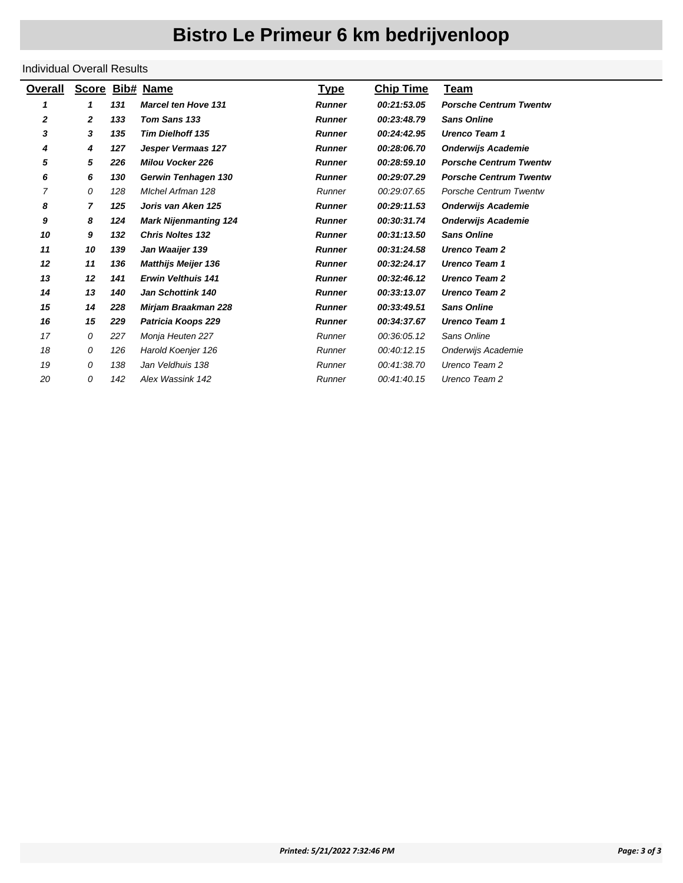#### Individual Overall Results

| Overall | Score Bib# Name |     |                              | <b>Type</b>   | <b>Chip Time</b> | Team                          |
|---------|-----------------|-----|------------------------------|---------------|------------------|-------------------------------|
| 1       | 1               | 131 | <b>Marcel ten Hove 131</b>   | <b>Runner</b> | 00:21:53.05      | <b>Porsche Centrum Twentw</b> |
| 2       | 2               | 133 | Tom Sans 133                 | <b>Runner</b> | 00:23:48.79      | <b>Sans Online</b>            |
| 3       | 3               | 135 | <b>Tim Dielhoff 135</b>      | <b>Runner</b> | 00:24:42.95      | <b>Urenco Team 1</b>          |
| 4       | 4               | 127 | Jesper Vermaas 127           | <b>Runner</b> | 00:28:06.70      | <b>Onderwijs Academie</b>     |
| 5       | 5               | 226 | <b>Milou Vocker 226</b>      | <b>Runner</b> | 00:28:59.10      | <b>Porsche Centrum Twentw</b> |
| 6       | 6               | 130 | Gerwin Tenhagen 130          | <b>Runner</b> | 00:29:07.29      | <b>Porsche Centrum Twentw</b> |
| 7       | 0               | 128 | Michel Arfman 128            | Runner        | 00:29:07.65      | <b>Porsche Centrum Twentw</b> |
| 8       | 7               | 125 | Joris van Aken 125           | <b>Runner</b> | 00:29:11.53      | <b>Onderwijs Academie</b>     |
| 9       | 8               | 124 | <b>Mark Nijenmanting 124</b> | <b>Runner</b> | 00:30:31.74      | <b>Onderwijs Academie</b>     |
| 10      | 9               | 132 | <b>Chris Noltes 132</b>      | <b>Runner</b> | 00:31:13.50      | <b>Sans Online</b>            |
| 11      | 10              | 139 | Jan Waaijer 139              | <b>Runner</b> | 00:31:24.58      | <b>Urenco Team 2</b>          |
| 12      | 11              | 136 | <b>Matthijs Meijer 136</b>   | <b>Runner</b> | 00:32:24.17      | <b>Urenco Team 1</b>          |
| 13      | 12              | 141 | <b>Erwin Velthuis 141</b>    | <b>Runner</b> | 00:32:46.12      | <b>Urenco Team 2</b>          |
| 14      | 13              | 140 | <b>Jan Schottink 140</b>     | <b>Runner</b> | 00:33:13.07      | <b>Urenco Team 2</b>          |
| 15      | 14              | 228 | Mirjam Braakman 228          | <b>Runner</b> | 00:33:49.51      | <b>Sans Online</b>            |
| 16      | 15              | 229 | Patricia Koops 229           | <b>Runner</b> | 00:34:37.67      | <b>Urenco Team 1</b>          |
| 17      | 0               | 227 | Monja Heuten 227             | Runner        | 00:36:05.12      | Sans Online                   |
| 18      | 0               | 126 | Harold Koenjer 126           | Runner        | 00:40:12.15      | Onderwijs Academie            |
| 19      | 0               | 138 | Jan Veldhuis 138             | Runner        | 00:41:38.70      | Urenco Team 2                 |
| 20      | 0               | 142 | Alex Wassink 142             | Runner        | 00:41:40.15      | Urenco Team 2                 |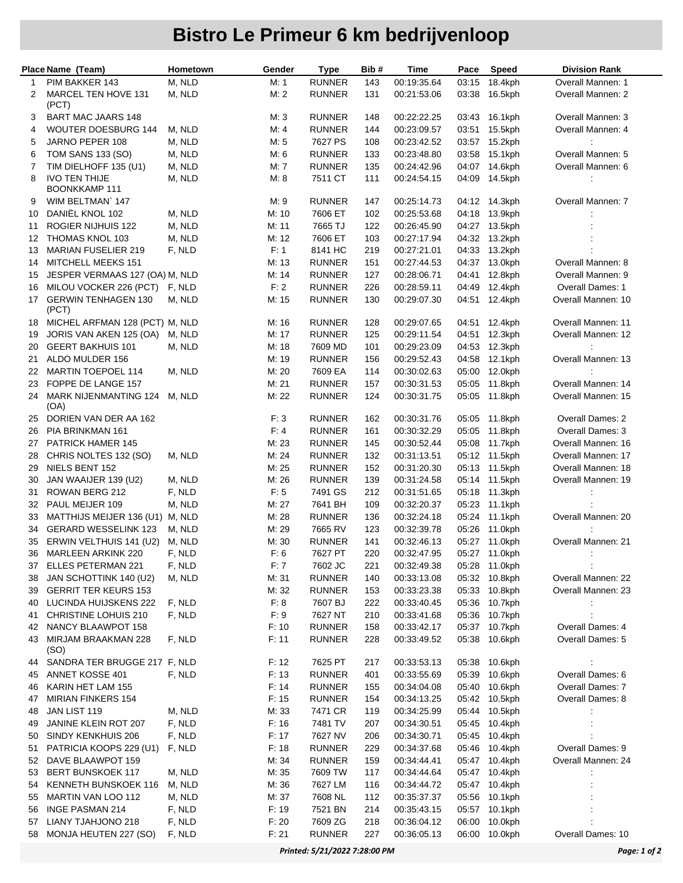|    | Place Name (Team)                    | Hometown | Gender | <b>Type</b>   | Bib# | Time        | Pace  | Speed         | <b>Division Rank</b>    |
|----|--------------------------------------|----------|--------|---------------|------|-------------|-------|---------------|-------------------------|
| 1  | PIM BAKKER 143                       | M, NLD   | M: 1   | <b>RUNNER</b> | 143  | 00:19:35.64 | 03:15 | 18.4kph       | Overall Mannen: 1       |
| 2  | MARCEL TEN HOVE 131<br>(PCT)         | M, NLD   | M: 2   | <b>RUNNER</b> | 131  | 00:21:53.06 | 03:38 | 16.5kph       | Overall Mannen: 2       |
| 3  | <b>BART MAC JAARS 148</b>            |          | M:3    | <b>RUNNER</b> | 148  | 00:22:22.25 | 03:43 | 16.1kph       | Overall Mannen: 3       |
| 4  | <b>WOUTER DOESBURG 144</b>           | M, NLD   | M: 4   | <b>RUNNER</b> | 144  | 00:23:09.57 | 03:51 | 15.5kph       | Overall Mannen: 4       |
| 5  | JARNO PEPER 108                      | M, NLD   | M: 5   | 7627 PS       | 108  | 00:23:42.52 | 03:57 | 15.2kph       | $\ddot{\phantom{a}}$    |
| 6  | <b>TOM SANS 133 (SO)</b>             | M, NLD   | M: 6   | <b>RUNNER</b> | 133  | 00:23:48.80 | 03:58 | 15.1kph       | Overall Mannen: 5       |
| 7  | TIM DIELHOFF 135 (U1)                | M, NLD   | M: 7   | <b>RUNNER</b> | 135  | 00:24:42.96 | 04:07 | 14.6kph       | Overall Mannen: 6       |
| 8  | <b>IVO TEN THIJE</b>                 | M, NLD   | M: 8   | 7511 CT       | 111  | 00:24:54.15 | 04:09 | 14.5kph       | ÷                       |
|    | <b>BOONKKAMP 111</b>                 |          |        |               |      |             |       |               |                         |
| 9  | WIM BELTMAN 147                      |          | M: 9   | <b>RUNNER</b> | 147  | 00:25:14.73 |       | 04:12 14.3kph | Overall Mannen: 7       |
| 10 | DANIËL KNOL 102                      | M, NLD   | M: 10  | 7606 ET       | 102  | 00:25:53.68 | 04:18 | 13.9kph       |                         |
| 11 | ROGIER NIJHUIS 122                   | M, NLD   | M: 11  | 7665 TJ       | 122  | 00:26:45.90 | 04:27 | 13.5kph       |                         |
| 12 | THOMAS KNOL 103                      | M, NLD   | M: 12  | 7606 ET       | 103  | 00:27:17.94 | 04:32 | 13.2kph       |                         |
| 13 | <b>MARIAN FUSELIER 219</b>           | F, NLD   | F: 1   | 8141 HC       | 219  | 00:27:21.01 | 04:33 | 13.2kph       |                         |
| 14 | MITCHELL MEEKS 151                   |          | M: 13  | <b>RUNNER</b> | 151  | 00:27:44.53 | 04:37 | 13.0kph       | Overall Mannen: 8       |
| 15 | JESPER VERMAAS 127 (OA) M, NLD       |          | M: 14  | <b>RUNNER</b> | 127  | 00:28:06.71 | 04:41 | 12.8kph       | Overall Mannen: 9       |
| 16 | MILOU VOCKER 226 (PCT)               | F, NLD   | F: 2   | <b>RUNNER</b> | 226  | 00:28:59.11 | 04:49 | 12.4kph       | <b>Overall Dames: 1</b> |
| 17 | <b>GERWIN TENHAGEN 130</b><br>(PCT)  | M, NLD   | M: 15  | <b>RUNNER</b> | 130  | 00:29:07.30 | 04:51 | 12.4kph       | Overall Mannen: 10      |
| 18 | MICHEL ARFMAN 128 (PCT) M, NLD       |          | M: 16  | <b>RUNNER</b> | 128  | 00:29:07.65 | 04:51 | 12.4kph       | Overall Mannen: 11      |
| 19 | JORIS VAN AKEN 125 (OA)              | M, NLD   | M: 17  | <b>RUNNER</b> | 125  | 00:29:11.54 | 04:51 | 12.3kph       | Overall Mannen: 12      |
| 20 | <b>GEERT BAKHUIS 101</b>             | M, NLD   | M: 18  | 7609 MD       | 101  | 00:29:23.09 | 04:53 | 12.3kph       |                         |
| 21 | ALDO MULDER 156                      |          | M: 19  | <b>RUNNER</b> | 156  | 00:29:52.43 | 04:58 | 12.1kph       | Overall Mannen: 13      |
| 22 | <b>MARTIN TOEPOEL 114</b>            | M, NLD   | M: 20  | 7609 EA       | 114  | 00:30:02.63 | 05:00 | 12.0kph       |                         |
| 23 | FOPPE DE LANGE 157                   |          | M: 21  | <b>RUNNER</b> | 157  | 00:30:31.53 | 05:05 | 11.8kph       | Overall Mannen: 14      |
| 24 | <b>MARK NIJENMANTING 124</b><br>(OA) | M, NLD   | M: 22  | <b>RUNNER</b> | 124  | 00:30:31.75 | 05:05 | 11.8kph       | Overall Mannen: 15      |
| 25 | DORIEN VAN DER AA 162                |          | F:3    | <b>RUNNER</b> | 162  | 00:30:31.76 | 05:05 | 11.8kph       | <b>Overall Dames: 2</b> |
| 26 | PIA BRINKMAN 161                     |          | F: 4   | <b>RUNNER</b> | 161  | 00:30:32.29 | 05:05 | 11.8kph       | Overall Dames: 3        |
| 27 | PATRICK HAMER 145                    |          | M: 23  | <b>RUNNER</b> | 145  | 00:30:52.44 | 05:08 | 11.7kph       | Overall Mannen: 16      |
| 28 | CHRIS NOLTES 132 (SO)                | M, NLD   | M: 24  | <b>RUNNER</b> | 132  | 00:31:13.51 |       | 05:12 11.5kph | Overall Mannen: 17      |
| 29 | NIELS BENT 152                       |          | M: 25  | <b>RUNNER</b> | 152  | 00:31:20.30 | 05:13 | 11.5kph       | Overall Mannen: 18      |
| 30 | JAN WAAIJER 139 (U2)                 | M, NLD   | M: 26  | <b>RUNNER</b> | 139  | 00:31:24.58 | 05:14 | 11.5kph       | Overall Mannen: 19      |
| 31 | ROWAN BERG 212                       | F, NLD   | F: 5   | 7491 GS       | 212  | 00:31:51.65 | 05:18 | 11.3kph       |                         |
| 32 | PAUL MEIJER 109                      | M, NLD   | M: 27  | 7641 BH       | 109  | 00:32:20.37 | 05:23 | 11.1kph       |                         |
| 33 | MATTHIJS MEIJER 136 (U1) M, NLD      |          | M: 28  | <b>RUNNER</b> | 136  | 00:32:24.18 | 05:24 | 11.1kph       | Overall Mannen: 20      |
| 34 | <b>GERARD WESSELINK 123</b>          | M, NLD   | M: 29  | 7665 RV       | 123  | 00:32:39.78 | 05:26 | 11.0kph       |                         |
| 35 | ERWIN VELTHUIS 141 (U2)              | M, NLD   | M: 30  | <b>RUNNER</b> | 141  | 00:32:46.13 | 05:27 | 11.0kph       | Overall Mannen: 21      |
| 36 | <b>MARLEEN ARKINK 220</b>            | F, NLD   | F: 6   | 7627 PT       | 220  | 00:32:47.95 | 05:27 | 11.0kph       |                         |
| 37 | <b>ELLES PETERMAN 221</b>            | F, NLD   | F: 7   | 7602 JC       | 221  | 00:32:49.38 |       | 05:28 11.0kph | $\ddot{\cdot}$          |
| 38 | JAN SCHOTTINK 140 (U2)               | M, NLD   | M: 31  | <b>RUNNER</b> | 140  | 00:33:13.08 |       | 05:32 10.8kph | Overall Mannen: 22      |
| 39 | <b>GERRIT TER KEURS 153</b>          |          | M: 32  | <b>RUNNER</b> | 153  | 00:33:23.38 | 05:33 | 10.8kph       | Overall Mannen: 23      |
| 40 | LUCINDA HUIJSKENS 222                | F, NLD   | F: 8   | 7607 BJ       | 222  | 00:33:40.45 | 05:36 | 10.7kph       |                         |
| 41 | CHRISTINE LOHUIS 210                 | F, NLD   | F: 9   | 7627 NT       | 210  | 00:33:41.68 | 05:36 | 10.7kph       |                         |
| 42 | NANCY BLAAWPOT 158                   |          | F: 10  | <b>RUNNER</b> | 158  | 00:33:42.17 | 05:37 | 10.7kph       | Overall Dames: 4        |
| 43 | MIRJAM BRAAKMAN 228<br>(SO)          | F, NLD   | F: 11  | <b>RUNNER</b> | 228  | 00:33:49.52 | 05:38 | 10.6kph       | Overall Dames: 5        |
| 44 | SANDRA TER BRUGGE 217 F, NLD         |          | F: 12  | 7625 PT       | 217  | 00:33:53.13 | 05:38 | 10.6kph       |                         |
| 45 | ANNET KOSSE 401                      | F, NLD   | F: 13  | <b>RUNNER</b> | 401  | 00:33:55.69 | 05:39 | 10.6kph       | Overall Dames: 6        |
| 46 | KARIN HET LAM 155                    |          | F: 14  | <b>RUNNER</b> | 155  | 00:34:04.08 | 05:40 | 10.6kph       | Overall Dames: 7        |
| 47 | <b>MIRIAN FINKERS 154</b>            |          | F: 15  | <b>RUNNER</b> | 154  | 00:34:13.25 |       | 05:42 10.5kph | Overall Dames: 8        |
| 48 | JAN LIST 119                         | M, NLD   | M: 33  | 7471 CR       | 119  | 00:34:25.99 | 05:44 | 10.5kph       |                         |
| 49 | JANINE KLEIN ROT 207                 | F, NLD   | F: 16  | 7481 TV       | 207  | 00:34:30.51 |       | 05:45 10.4kph |                         |
| 50 | SINDY KENKHUIS 206                   | F, NLD   | F: 17  | 7627 NV       | 206  | 00:34:30.71 | 05:45 | 10.4kph       |                         |
| 51 | PATRICIA KOOPS 229 (U1)              | F, NLD   | F: 18  | <b>RUNNER</b> | 229  | 00:34:37.68 | 05:46 | 10.4kph       | Overall Dames: 9        |
| 52 | DAVE BLAAWPOT 159                    |          | M: 34  | <b>RUNNER</b> | 159  | 00:34:44.41 |       | 05:47 10.4kph | Overall Mannen: 24      |
| 53 | <b>BERT BUNSKOEK 117</b>             | M, NLD   | M: 35  | 7609 TW       | 117  | 00:34:44.64 | 05:47 | 10.4kph       |                         |
| 54 | KENNETH BUNSKOEK 116                 | M, NLD   | M: 36  | 7627 LM       | 116  | 00:34:44.72 |       | 05:47 10.4kph |                         |
| 55 | MARTIN VAN LOO 112                   | M, NLD   | M: 37  | 7608 NL       | 112  | 00:35:37.37 | 05:56 | 10.1kph       |                         |
| 56 | INGE PASMAN 214                      | F, NLD   | F: 19  | 7521 BN       | 214  | 00:35:43.15 | 05:57 | 10.1kph       |                         |
| 57 | LIANY TJAHJONO 218                   | F, NLD   | F: 20  | 7609 ZG       | 218  | 00:36:04.12 | 06:00 | 10.0kph       |                         |
| 58 | MONJA HEUTEN 227 (SO)                | F, NLD   | F: 21  | <b>RUNNER</b> | 227  | 00:36:05.13 | 06:00 | 10.0kph       | Overall Dames: 10       |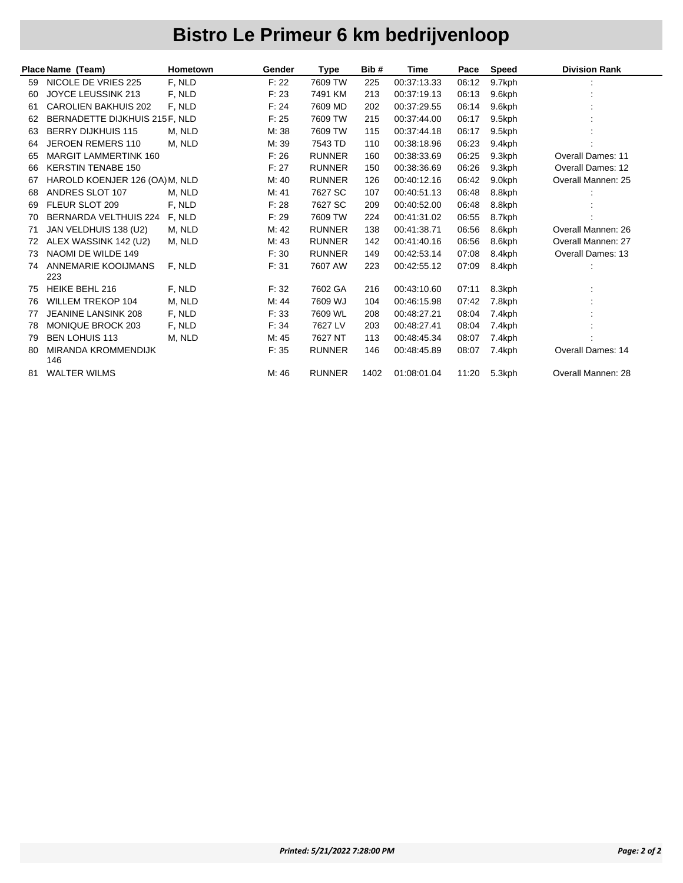|    | Place Name (Team)                 | Hometown | Gender | <b>Type</b>   | Bib# | Time        | Pace  | <b>Speed</b> | <b>Division Rank</b>     |
|----|-----------------------------------|----------|--------|---------------|------|-------------|-------|--------------|--------------------------|
| 59 | NICOLE DE VRIES 225               | F, NLD   | F: 22  | 7609 TW       | 225  | 00:37:13.33 | 06:12 | 9.7kph       |                          |
| 60 | JOYCE LEUSSINK 213                | F, NLD   | F: 23  | 7491 KM       | 213  | 00:37:19.13 | 06:13 | 9.6kph       |                          |
| 61 | <b>CAROLIEN BAKHUIS 202</b>       | F. NLD   | F: 24  | 7609 MD       | 202  | 00:37:29.55 | 06:14 | 9.6kph       |                          |
| 62 | BERNADETTE DIJKHUIS 215F, NLD     |          | F: 25  | 7609 TW       | 215  | 00:37:44.00 | 06:17 | 9.5kph       |                          |
| 63 | <b>BERRY DIJKHUIS 115</b>         | M. NLD   | M: 38  | 7609 TW       | 115  | 00:37:44.18 | 06:17 | 9.5kph       |                          |
| 64 | JEROEN REMERS 110                 | M, NLD   | M: 39  | 7543 TD       | 110  | 00:38:18.96 | 06:23 | 9.4kph       |                          |
| 65 | <b>MARGIT LAMMERTINK 160</b>      |          | F: 26  | <b>RUNNER</b> | 160  | 00:38:33.69 | 06:25 | 9.3kph       | <b>Overall Dames: 11</b> |
| 66 | <b>KERSTIN TENABE 150</b>         |          | F: 27  | <b>RUNNER</b> | 150  | 00:38:36.69 | 06:26 | 9.3kph       | Overall Dames: 12        |
| 67 | HAROLD KOENJER 126 (OA) M, NLD    |          | M: 40  | <b>RUNNER</b> | 126  | 00:40:12.16 | 06:42 | 9.0kph       | Overall Mannen: 25       |
| 68 | ANDRES SLOT 107                   | M, NLD   | M: 41  | 7627 SC       | 107  | 00:40:51.13 | 06:48 | 8.8kph       |                          |
| 69 | FLEUR SLOT 209                    | F, NLD   | F: 28  | 7627 SC       | 209  | 00:40:52.00 | 06:48 | 8.8kph       |                          |
| 70 | BERNARDA VELTHUIS 224             | F, NLD   | F: 29  | 7609 TW       | 224  | 00:41:31.02 | 06:55 | 8.7kph       |                          |
| 71 | JAN VELDHUIS 138 (U2)             | M, NLD   | M: 42  | <b>RUNNER</b> | 138  | 00:41:38.71 | 06:56 | 8.6kph       | Overall Mannen: 26       |
| 72 | ALEX WASSINK 142 (U2)             | M, NLD   | M: 43  | <b>RUNNER</b> | 142  | 00:41:40.16 | 06:56 | 8.6kph       | Overall Mannen: 27       |
| 73 | NAOMI DE WILDE 149                |          | F: 30  | <b>RUNNER</b> | 149  | 00:42:53.14 | 07:08 | 8.4kph       | <b>Overall Dames: 13</b> |
| 74 | ANNEMARIE KOOIJMANS<br>223        | F, NLD   | F: 31  | 7607 AW       | 223  | 00:42:55.12 | 07:09 | 8.4kph       |                          |
| 75 | <b>HEIKE BEHL 216</b>             | F, NLD   | F: 32  | 7602 GA       | 216  | 00:43:10.60 | 07:11 | 8.3kph       |                          |
| 76 | <b>WILLEM TREKOP 104</b>          | M, NLD   | M: 44  | 7609 WJ       | 104  | 00:46:15.98 | 07:42 | 7.8kph       |                          |
| 77 | <b>JEANINE LANSINK 208</b>        | F, NLD   | F: 33  | 7609 WL       | 208  | 00:48:27.21 | 08:04 | 7.4kph       |                          |
| 78 | <b>MONIQUE BROCK 203</b>          | F, NLD   | F: 34  | 7627 LV       | 203  | 00:48:27.41 | 08:04 | 7.4kph       |                          |
| 79 | <b>BEN LOHUIS 113</b>             | M, NLD   | M: 45  | 7627 NT       | 113  | 00:48:45.34 | 08:07 | 7.4kph       |                          |
| 80 | <b>MIRANDA KROMMENDIJK</b><br>146 |          | F: 35  | <b>RUNNER</b> | 146  | 00:48:45.89 | 08:07 | 7.4kph       | Overall Dames: 14        |
| 81 | <b>WALTER WILMS</b>               |          | M: 46  | <b>RUNNER</b> | 1402 | 01:08:01.04 | 11:20 | 5.3kph       | Overall Mannen: 28       |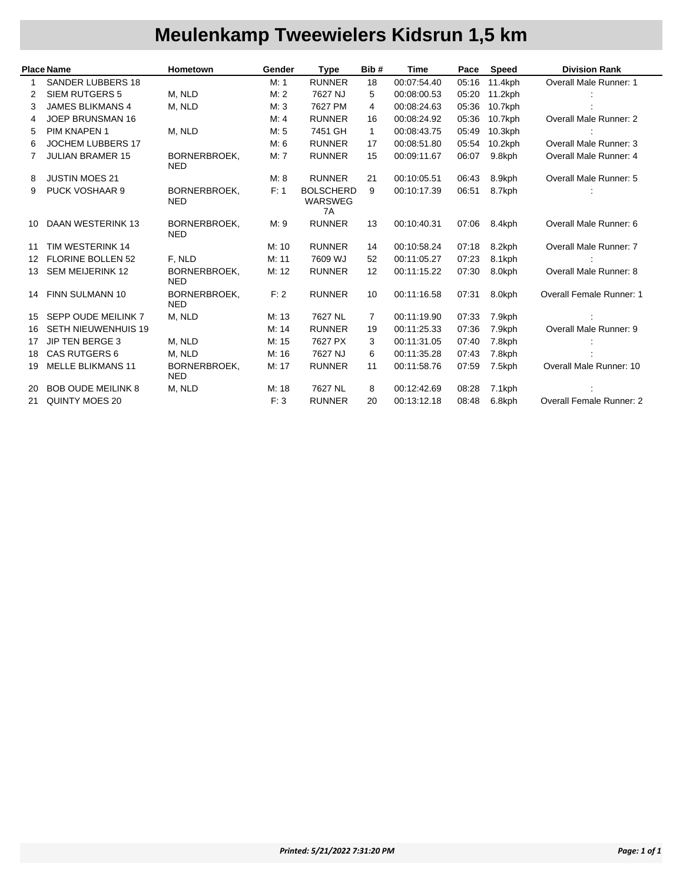# **Meulenkamp Tweewielers Kidsrun 1,5 km**

|    | <b>Place Name</b>          | Hometown                          | Gender | <b>Type</b>                              | Bib#           | <b>Time</b> | Pace  | <b>Speed</b> | <b>Division Rank</b>            |
|----|----------------------------|-----------------------------------|--------|------------------------------------------|----------------|-------------|-------|--------------|---------------------------------|
|    | <b>SANDER LUBBERS 18</b>   |                                   | M: 1   | <b>RUNNER</b>                            | 18             | 00:07:54.40 | 05:16 | 11.4kph      | Overall Male Runner: 1          |
| 2  | <b>SIEM RUTGERS 5</b>      | M. NLD                            | M: 2   | 7627 NJ                                  | 5              | 00:08:00.53 | 05:20 | 11.2kph      |                                 |
| 3  | <b>JAMES BLIKMANS 4</b>    | M, NLD                            | M: 3   | 7627 PM                                  | 4              | 00:08:24.63 | 05:36 | 10.7kph      |                                 |
| 4  | JOEP BRUNSMAN 16           |                                   | M: 4   | <b>RUNNER</b>                            | 16             | 00:08:24.92 | 05:36 | 10.7kph      | Overall Male Runner: 2          |
| 5  | PIM KNAPEN 1               | M, NLD                            | M: 5   | 7451 GH                                  | 1              | 00:08:43.75 | 05:49 | 10.3kph      |                                 |
| 6  | <b>JOCHEM LUBBERS 17</b>   |                                   | M: 6   | <b>RUNNER</b>                            | 17             | 00:08:51.80 | 05:54 | $10.2$ kph   | Overall Male Runner: 3          |
|    | <b>JULIAN BRAMER 15</b>    | BORNERBROEK.<br><b>NED</b>        | M: 7   | <b>RUNNER</b>                            | 15             | 00:09:11.67 | 06:07 | 9.8kph       | Overall Male Runner: 4          |
| 8  | <b>JUSTIN MOES 21</b>      |                                   | M: 8   | <b>RUNNER</b>                            | 21             | 00:10:05.51 | 06:43 | 8.9kph       | <b>Overall Male Runner: 5</b>   |
| 9  | PUCK VOSHAAR 9             | <b>BORNERBROEK,</b><br><b>NED</b> | F: 1   | <b>BOLSCHERD</b><br><b>WARSWEG</b><br>7A | 9              | 00:10:17.39 | 06:51 | 8.7kph       |                                 |
| 10 | <b>DAAN WESTERINK 13</b>   | <b>BORNERBROEK,</b><br><b>NED</b> | M: 9   | <b>RUNNER</b>                            | 13             | 00:10:40.31 | 07:06 | 8.4kph       | Overall Male Runner: 6          |
| 11 | TIM WESTERINK 14           |                                   | M: 10  | <b>RUNNER</b>                            | 14             | 00:10:58.24 | 07:18 | 8.2kph       | <b>Overall Male Runner: 7</b>   |
| 12 | <b>FLORINE BOLLEN 52</b>   | F, NLD                            | M: 11  | 7609 WJ                                  | 52             | 00:11:05.27 | 07:23 | 8.1kph       |                                 |
| 13 | <b>SEM MEIJERINK 12</b>    | BORNERBROEK,<br><b>NED</b>        | M: 12  | <b>RUNNER</b>                            | 12             | 00:11:15.22 | 07:30 | 8.0kph       | Overall Male Runner: 8          |
| 14 | <b>FINN SULMANN 10</b>     | BORNERBROEK,<br><b>NED</b>        | F: 2   | <b>RUNNER</b>                            | 10             | 00:11:16.58 | 07:31 | 8.0kph       | <b>Overall Female Runner: 1</b> |
| 15 | SEPP OUDE MEILINK 7        | M, NLD                            | M: 13  | 7627 NL                                  | $\overline{7}$ | 00:11:19.90 | 07:33 | 7.9kph       |                                 |
| 16 | <b>SETH NIEUWENHUIS 19</b> |                                   | M: 14  | <b>RUNNER</b>                            | 19             | 00:11:25.33 | 07:36 | 7.9kph       | Overall Male Runner: 9          |
| 17 | <b>JIP TEN BERGE 3</b>     | M, NLD                            | M: 15  | 7627 PX                                  | 3              | 00:11:31.05 | 07:40 | 7.8kph       |                                 |
| 18 | CAS RUTGERS 6              | M, NLD                            | M: 16  | 7627 NJ                                  | 6              | 00:11:35.28 | 07:43 | 7.8kph       |                                 |
| 19 | <b>MELLE BLIKMANS 11</b>   | <b>BORNERBROEK,</b><br><b>NED</b> | M: 17  | <b>RUNNER</b>                            | 11             | 00:11:58.76 | 07:59 | 7.5kph       | Overall Male Runner: 10         |
| 20 | <b>BOB OUDE MEILINK 8</b>  | M, NLD                            | M: 18  | 7627 NL                                  | 8              | 00:12:42.69 | 08:28 | 7.1kph       |                                 |
| 21 | QUINTY MOES 20             |                                   | F: 3   | <b>RUNNER</b>                            | 20             | 00:13:12.18 | 08:48 | 6.8kph       | Overall Female Runner: 2        |